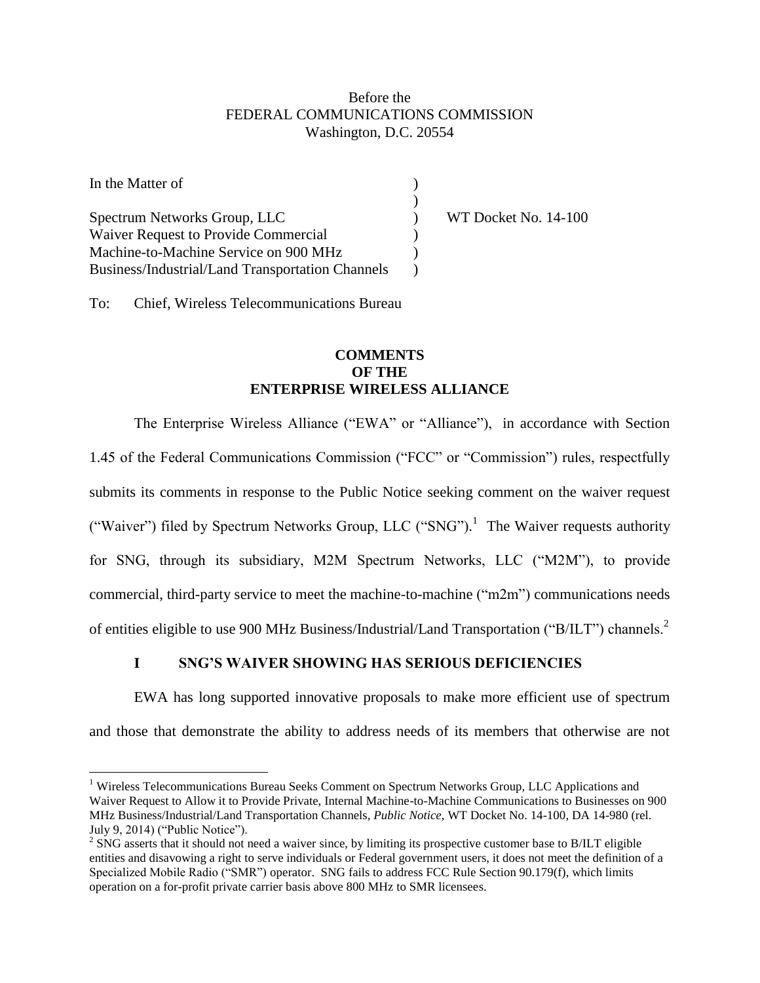### Before the FEDERAL COMMUNICATIONS COMMISSION Washington, D.C. 20554

| In the Matter of                                 |                      |
|--------------------------------------------------|----------------------|
|                                                  |                      |
| Spectrum Networks Group, LLC                     | WT Docket No. 14-100 |
| Waiver Request to Provide Commercial             |                      |
| Machine-to-Machine Service on 900 MHz            |                      |
| Business/Industrial/Land Transportation Channels |                      |

To: Chief, Wireless Telecommunications Bureau

 $\overline{a}$ 

## **COMMENTS OF THE ENTERPRISE WIRELESS ALLIANCE**

The Enterprise Wireless Alliance ("EWA" or "Alliance"), in accordance with Section 1.45 of the Federal Communications Commission ("FCC" or "Commission") rules, respectfully submits its comments in response to the Public Notice seeking comment on the waiver request ("Waiver") filed by Spectrum Networks Group, LLC ("SNG").<sup>1</sup> The Waiver requests authority for SNG, through its subsidiary, M2M Spectrum Networks, LLC ("M2M"), to provide commercial, third-party service to meet the machine-to-machine ("m2m") communications needs of entities eligible to use 900 MHz Business/Industrial/Land Transportation ("B/ILT") channels.<sup>2</sup>

# **I SNG'S WAIVER SHOWING HAS SERIOUS DEFICIENCIES**

EWA has long supported innovative proposals to make more efficient use of spectrum and those that demonstrate the ability to address needs of its members that otherwise are not

<sup>&</sup>lt;sup>1</sup> Wireless Telecommunications Bureau Seeks Comment on Spectrum Networks Group, LLC Applications and Waiver Request to Allow it to Provide Private, Internal Machine-to-Machine Communications to Businesses on 900 MHz Business/Industrial/Land Transportation Channels, *Public Notice*, WT Docket No. 14-100, DA 14-980 (rel. July 9, 2014) ("Public Notice").

 $2^{2}$  SNG asserts that it should not need a waiver since, by limiting its prospective customer base to B/ILT eligible entities and disavowing a right to serve individuals or Federal government users, it does not meet the definition of a Specialized Mobile Radio ("SMR") operator. SNG fails to address FCC Rule Section 90.179(f), which limits operation on a for-profit private carrier basis above 800 MHz to SMR licensees.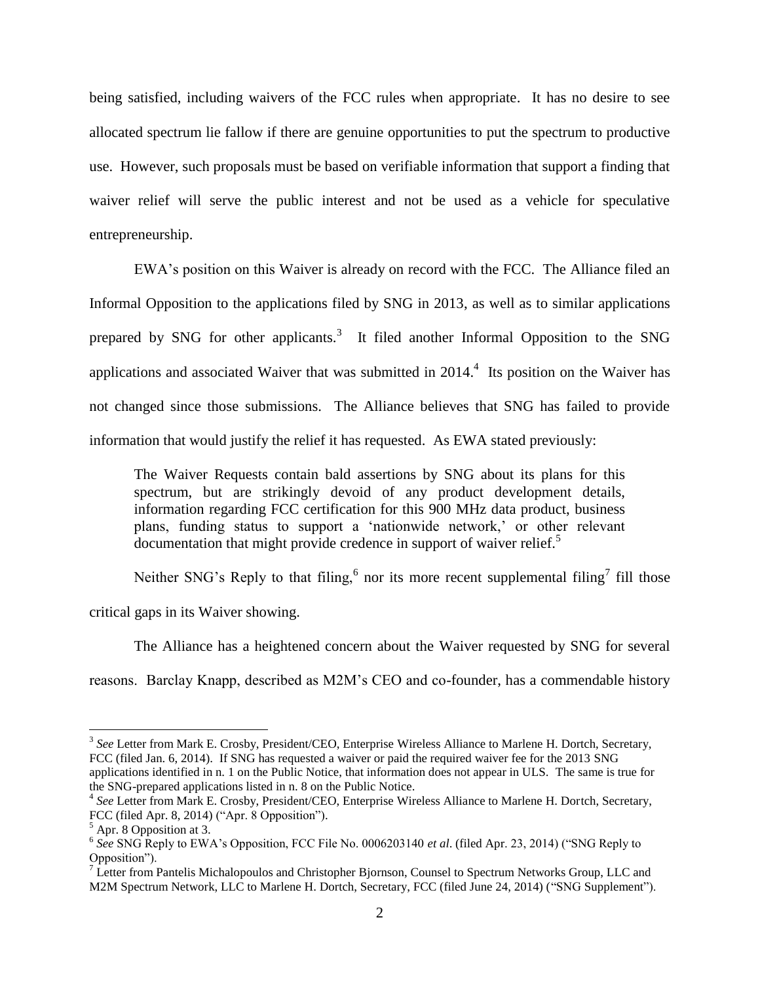being satisfied, including waivers of the FCC rules when appropriate. It has no desire to see allocated spectrum lie fallow if there are genuine opportunities to put the spectrum to productive use. However, such proposals must be based on verifiable information that support a finding that waiver relief will serve the public interest and not be used as a vehicle for speculative entrepreneurship.

EWA"s position on this Waiver is already on record with the FCC. The Alliance filed an Informal Opposition to the applications filed by SNG in 2013, as well as to similar applications prepared by SNG for other applicants.<sup>3</sup> It filed another Informal Opposition to the SNG applications and associated Waiver that was submitted in  $2014<sup>4</sup>$ . Its position on the Waiver has not changed since those submissions. The Alliance believes that SNG has failed to provide information that would justify the relief it has requested. As EWA stated previously:

The Waiver Requests contain bald assertions by SNG about its plans for this spectrum, but are strikingly devoid of any product development details, information regarding FCC certification for this 900 MHz data product, business plans, funding status to support a "nationwide network," or other relevant documentation that might provide credence in support of waiver relief.<sup>5</sup>

Neither SNG's Reply to that filing,  $6$  nor its more recent supplemental filing<sup>7</sup> fill those

critical gaps in its Waiver showing.

The Alliance has a heightened concern about the Waiver requested by SNG for several

reasons. Barclay Knapp, described as M2M"s CEO and co-founder, has a commendable history

<sup>&</sup>lt;sup>3</sup> See Letter from Mark E. Crosby, President/CEO, Enterprise Wireless Alliance to Marlene H. Dortch, Secretary, FCC (filed Jan. 6, 2014). If SNG has requested a waiver or paid the required waiver fee for the 2013 SNG applications identified in n. 1 on the Public Notice, that information does not appear in ULS. The same is true for the SNG-prepared applications listed in n. 8 on the Public Notice.

<sup>&</sup>lt;sup>4</sup> See Letter from Mark E. Crosby, President/CEO, Enterprise Wireless Alliance to Marlene H. Dortch, Secretary, FCC (filed Apr. 8, 2014) ("Apr. 8 Opposition").

<sup>5</sup> Apr. 8 Opposition at 3.

<sup>&</sup>lt;sup>6</sup> See SNG Reply to EWA's Opposition, FCC File No. 0006203140 *et al.* (filed Apr. 23, 2014) ("SNG Reply to Opposition").

 $7 \text{ Letter from Pantelis Michalopoulos and Christopher Bjornson, Counsel to Spectrum Networks Group, LLC and$ M2M Spectrum Network, LLC to Marlene H. Dortch, Secretary, FCC (filed June 24, 2014) ("SNG Supplement").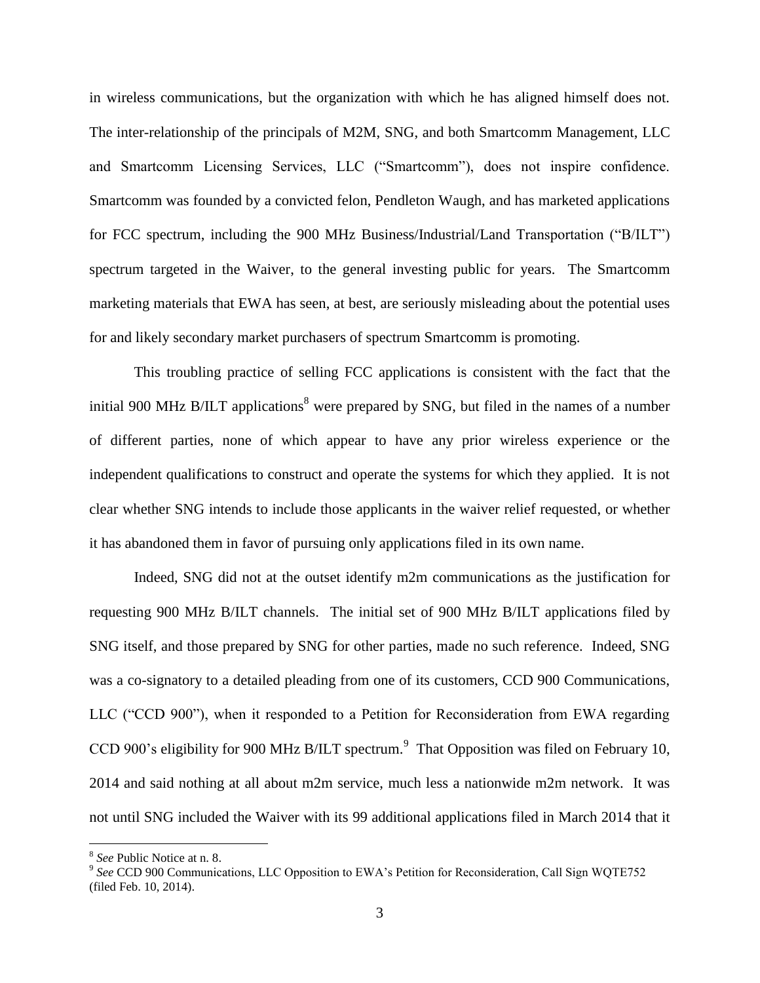in wireless communications, but the organization with which he has aligned himself does not. The inter-relationship of the principals of M2M, SNG, and both Smartcomm Management, LLC and Smartcomm Licensing Services, LLC ("Smartcomm"), does not inspire confidence. Smartcomm was founded by a convicted felon, Pendleton Waugh, and has marketed applications for FCC spectrum, including the 900 MHz Business/Industrial/Land Transportation ("B/ILT") spectrum targeted in the Waiver, to the general investing public for years. The Smartcomm marketing materials that EWA has seen, at best, are seriously misleading about the potential uses for and likely secondary market purchasers of spectrum Smartcomm is promoting.

This troubling practice of selling FCC applications is consistent with the fact that the initial 900 MHz B/ILT applications<sup>8</sup> were prepared by SNG, but filed in the names of a number of different parties, none of which appear to have any prior wireless experience or the independent qualifications to construct and operate the systems for which they applied. It is not clear whether SNG intends to include those applicants in the waiver relief requested, or whether it has abandoned them in favor of pursuing only applications filed in its own name.

Indeed, SNG did not at the outset identify m2m communications as the justification for requesting 900 MHz B/ILT channels. The initial set of 900 MHz B/ILT applications filed by SNG itself, and those prepared by SNG for other parties, made no such reference. Indeed, SNG was a co-signatory to a detailed pleading from one of its customers, CCD 900 Communications, LLC ("CCD 900"), when it responded to a Petition for Reconsideration from EWA regarding CCD 900's eligibility for 900 MHz B/ILT spectrum.<sup>9</sup> That Opposition was filed on February 10, 2014 and said nothing at all about m2m service, much less a nationwide m2m network. It was not until SNG included the Waiver with its 99 additional applications filed in March 2014 that it

<sup>&</sup>lt;sup>8</sup> See Public Notice at n. 8.<br><sup>9</sup> See CCD 900 Communications, LLC Opposition to EWA's Petition for Reconsideration, Call Sign WQTE752 (filed Feb. 10, 2014).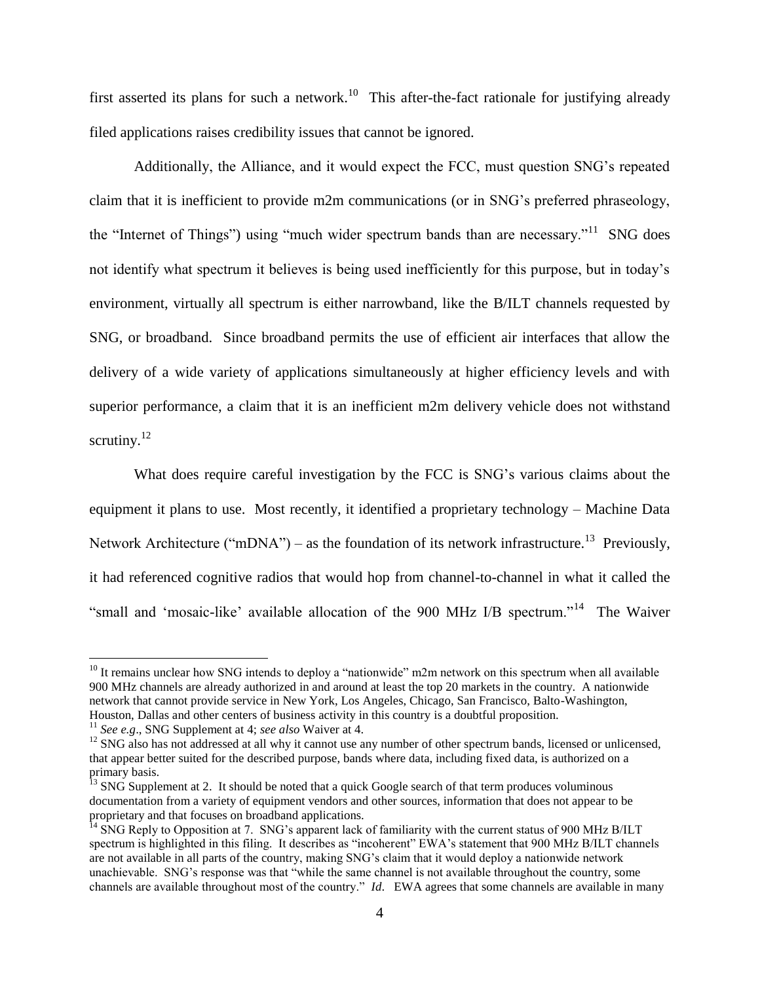first asserted its plans for such a network.<sup>10</sup> This after-the-fact rationale for justifying already filed applications raises credibility issues that cannot be ignored.

Additionally, the Alliance, and it would expect the FCC, must question SNG"s repeated claim that it is inefficient to provide m2m communications (or in SNG"s preferred phraseology, the "Internet of Things") using "much wider spectrum bands than are necessary."<sup>11</sup> SNG does not identify what spectrum it believes is being used inefficiently for this purpose, but in today"s environment, virtually all spectrum is either narrowband, like the B/ILT channels requested by SNG, or broadband. Since broadband permits the use of efficient air interfaces that allow the delivery of a wide variety of applications simultaneously at higher efficiency levels and with superior performance, a claim that it is an inefficient m2m delivery vehicle does not withstand scrutiny. $^{12}$ 

What does require careful investigation by the FCC is SNG's various claims about the equipment it plans to use. Most recently, it identified a proprietary technology – Machine Data Network Architecture ("mDNA") – as the foundation of its network infrastructure.<sup>13</sup> Previously, it had referenced cognitive radios that would hop from channel-to-channel in what it called the "small and 'mosaic-like' available allocation of the 900 MHz I/B spectrum."<sup>14</sup> The Waiver

 $10$  It remains unclear how SNG intends to deploy a "nationwide" m2m network on this spectrum when all available 900 MHz channels are already authorized in and around at least the top 20 markets in the country. A nationwide network that cannot provide service in New York, Los Angeles, Chicago, San Francisco, Balto-Washington, Houston, Dallas and other centers of business activity in this country is a doubtful proposition.

<sup>11</sup> *See e.g*., SNG Supplement at 4; *see also* Waiver at 4.

 $12$  SNG also has not addressed at all why it cannot use any number of other spectrum bands, licensed or unlicensed, that appear better suited for the described purpose, bands where data, including fixed data, is authorized on a primary basis.

 $\frac{1}{13}$  SNG Supplement at 2. It should be noted that a quick Google search of that term produces voluminous documentation from a variety of equipment vendors and other sources, information that does not appear to be proprietary and that focuses on broadband applications.

 $14$  SNG Reply to Opposition at 7. SNG's apparent lack of familiarity with the current status of 900 MHz B/ILT spectrum is highlighted in this filing. It describes as "incoherent" EWA's statement that 900 MHz B/ILT channels are not available in all parts of the country, making SNG"s claim that it would deploy a nationwide network unachievable. SNG"s response was that "while the same channel is not available throughout the country, some channels are available throughout most of the country." *Id*. EWA agrees that some channels are available in many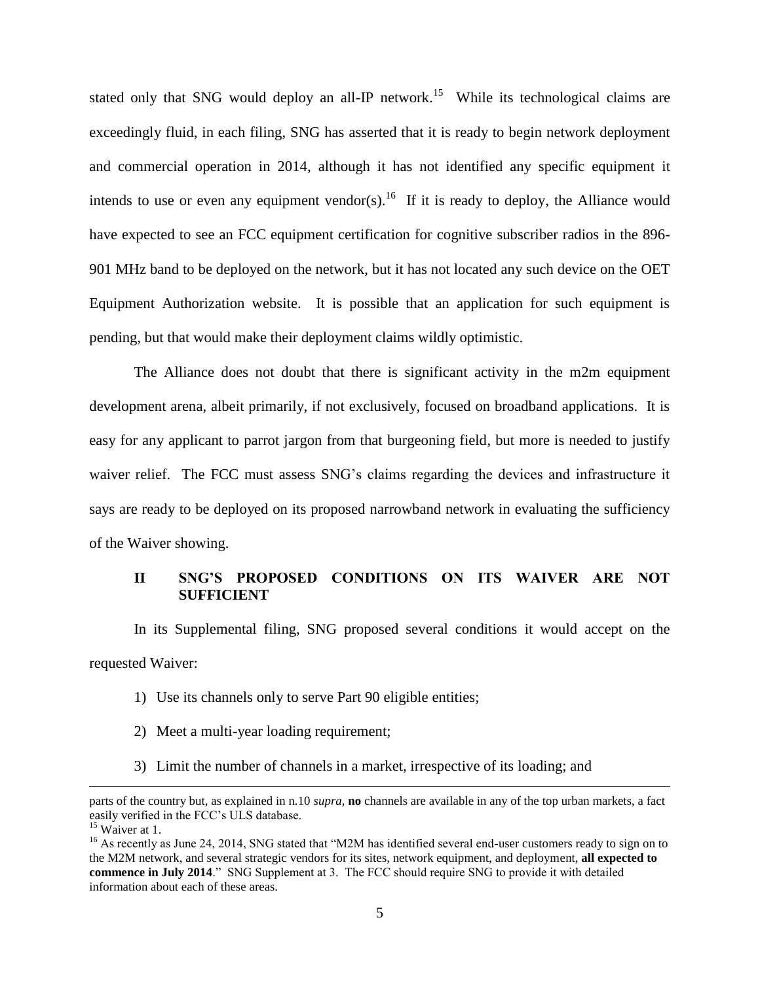stated only that SNG would deploy an all-IP network.<sup>15</sup> While its technological claims are exceedingly fluid, in each filing, SNG has asserted that it is ready to begin network deployment and commercial operation in 2014, although it has not identified any specific equipment it intends to use or even any equipment vendor(s).<sup>16</sup> If it is ready to deploy, the Alliance would have expected to see an FCC equipment certification for cognitive subscriber radios in the 896- 901 MHz band to be deployed on the network, but it has not located any such device on the OET Equipment Authorization website. It is possible that an application for such equipment is pending, but that would make their deployment claims wildly optimistic.

The Alliance does not doubt that there is significant activity in the m2m equipment development arena, albeit primarily, if not exclusively, focused on broadband applications. It is easy for any applicant to parrot jargon from that burgeoning field, but more is needed to justify waiver relief. The FCC must assess SNG"s claims regarding the devices and infrastructure it says are ready to be deployed on its proposed narrowband network in evaluating the sufficiency of the Waiver showing.

### **II SNG'S PROPOSED CONDITIONS ON ITS WAIVER ARE NOT SUFFICIENT**

In its Supplemental filing, SNG proposed several conditions it would accept on the requested Waiver:

- 1) Use its channels only to serve Part 90 eligible entities;
- 2) Meet a multi-year loading requirement;
- 3) Limit the number of channels in a market, irrespective of its loading; and

parts of the country but, as explained in n.10 *supra*, **no** channels are available in any of the top urban markets, a fact easily verified in the FCC"s ULS database.

<sup>&</sup>lt;sup>15</sup> Waiver at 1.

 $^{16}$  As recently as June 24, 2014, SNG stated that "M2M has identified several end-user customers ready to sign on to the M2M network, and several strategic vendors for its sites, network equipment, and deployment, **all expected to commence in July 2014**." SNG Supplement at 3. The FCC should require SNG to provide it with detailed information about each of these areas.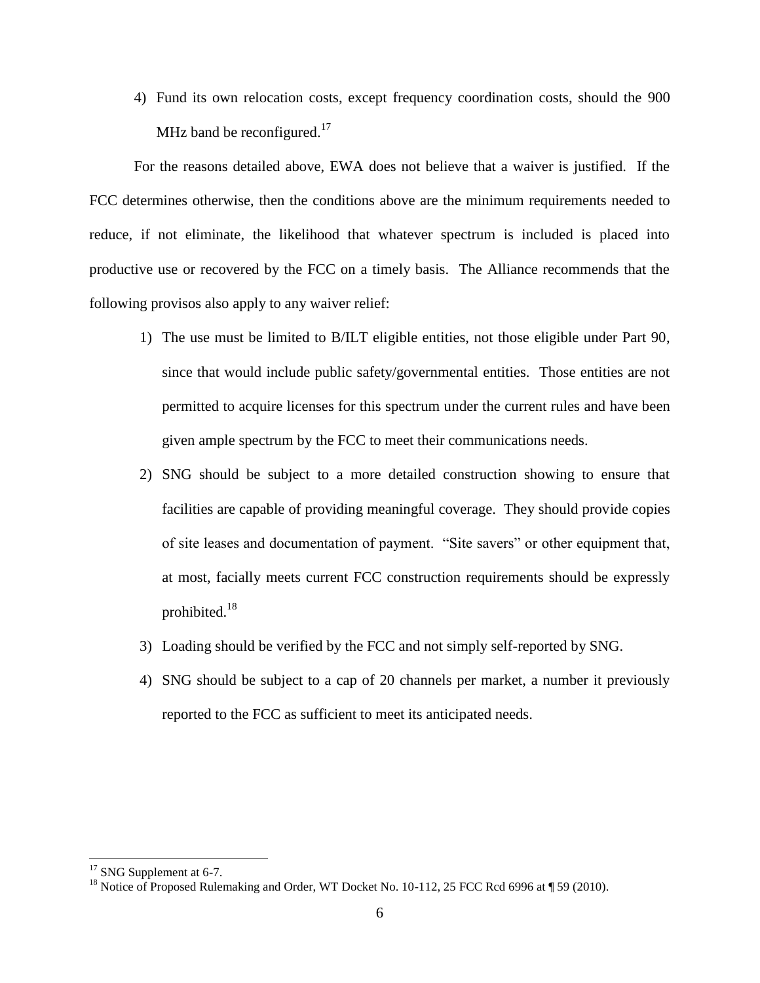4) Fund its own relocation costs, except frequency coordination costs, should the 900 MHz band be reconfigured.<sup>17</sup>

For the reasons detailed above, EWA does not believe that a waiver is justified. If the FCC determines otherwise, then the conditions above are the minimum requirements needed to reduce, if not eliminate, the likelihood that whatever spectrum is included is placed into productive use or recovered by the FCC on a timely basis. The Alliance recommends that the following provisos also apply to any waiver relief:

- 1) The use must be limited to B/ILT eligible entities, not those eligible under Part 90, since that would include public safety/governmental entities. Those entities are not permitted to acquire licenses for this spectrum under the current rules and have been given ample spectrum by the FCC to meet their communications needs.
- 2) SNG should be subject to a more detailed construction showing to ensure that facilities are capable of providing meaningful coverage. They should provide copies of site leases and documentation of payment. "Site savers" or other equipment that, at most, facially meets current FCC construction requirements should be expressly prohibited.<sup>18</sup>
- 3) Loading should be verified by the FCC and not simply self-reported by SNG.
- 4) SNG should be subject to a cap of 20 channels per market, a number it previously reported to the FCC as sufficient to meet its anticipated needs.

<sup>&</sup>lt;sup>17</sup> SNG Supplement at 6-7.

<sup>&</sup>lt;sup>18</sup> Notice of Proposed Rulemaking and Order, WT Docket No. 10-112, 25 FCC Rcd 6996 at ¶ 59 (2010).